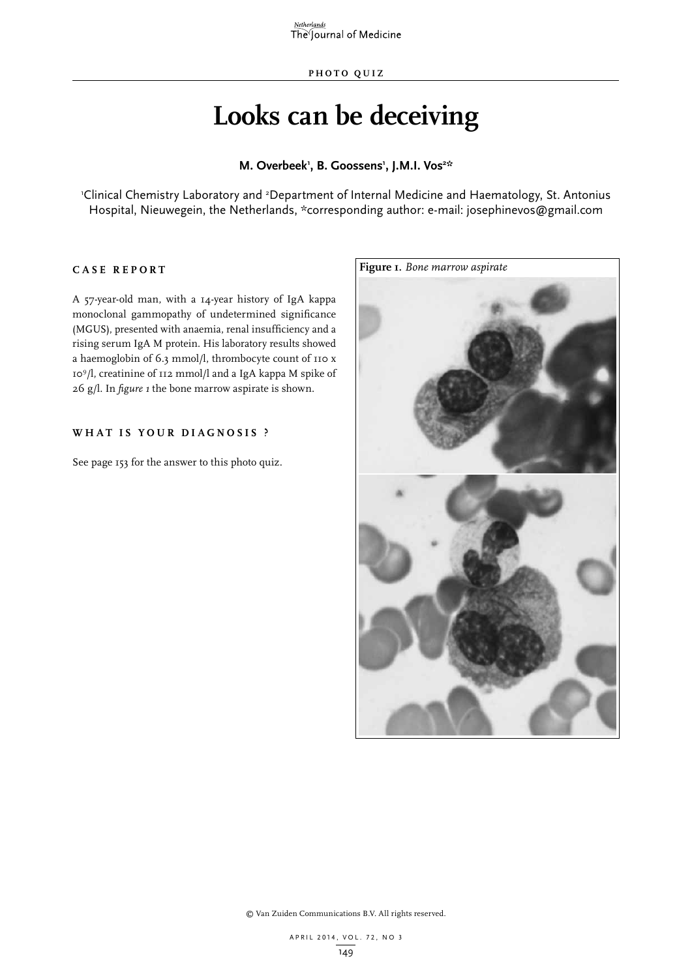$\frac{Netherlands}{The$  Journal of Medicine

# **Looks can be deceiving**

## M. Overbeek<sup>1</sup>, B. Goossens<sup>1</sup>, J.M.I. Vos<sup>2\*</sup>

Clinical Chemistry Laboratory and <sup>2</sup>Department of Internal Medicine and Haematology, St. Antonius<sup>1</sup> Hospital, Nieuwegein, the Netherlands, \*corresponding author: e-mail: josephinevos@gmail.com

## **C ASE RE P ORT**

A 57-year-old man, with a 14-year history of IgA kappa monoclonal gammopathy of undetermined significance (MGUS), presented with anaemia, renal insufficiency and a rising serum IgA M protein. His laboratory results showed a haemoglobin of 6.3 mmol/l, thrombocyte count of 110 x 109/l, creatinine of 112 mmol/l and a IgA kappa M spike of 26 g/l. In *figure 1* the bone marrow aspirate is shown.

# **W H AT IS Y O U R DIA G NOSIS ?**

See page 153 for the answer to this photo quiz.



© Van Zuiden Communications B.V. All rights reserved.